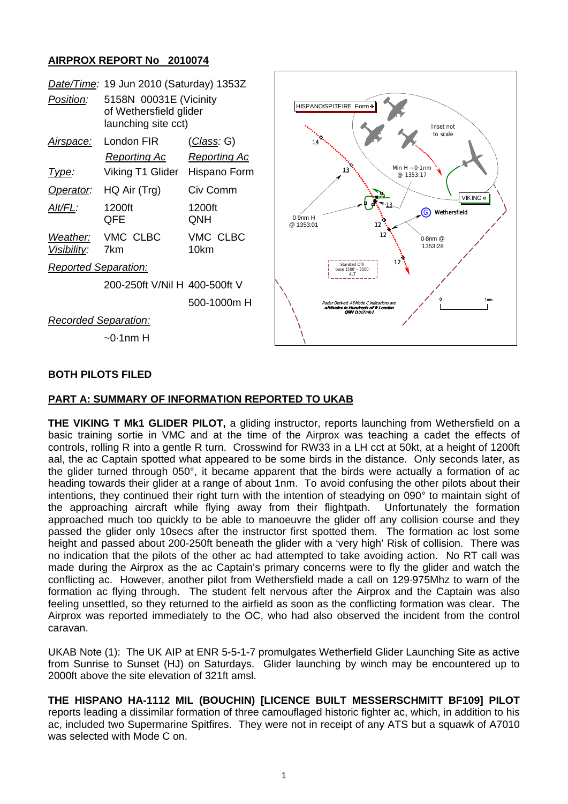# **AIRPROX REPORT No 2010074**

| Position:                   | Date/Time: 19 Jun 2010 (Saturday) 1353Z<br>5158N 00031E (Vicinity<br>of Wethersfield glider<br>launching site cct) |                                             | HISPANO/SPITFIRE Form &<br>Inset not                                                                              |
|-----------------------------|--------------------------------------------------------------------------------------------------------------------|---------------------------------------------|-------------------------------------------------------------------------------------------------------------------|
| <u>Airspace:</u>            | London FIR<br><b>Reporting Ac</b>                                                                                  | <u>  (Class</u> : G)<br><b>Reporting Ac</b> | to scale<br>14                                                                                                    |
| <u>Type:</u>                | Viking T1 Glider                                                                                                   | Hispano Form                                | Min $H \sim 0.1$ nm<br>13<br>@1353:17                                                                             |
| Operator:                   | HQ Air (Trg)                                                                                                       | Civ Comm                                    | VIKING <sup>■</sup>                                                                                               |
| Alt/FL:                     | 1200ft<br>QFE                                                                                                      | 1200ft<br>QNH                               | Wethersfield<br>Ġ<br>0-9nm H<br>@ 1353:01<br>12                                                                   |
| Weather:<br>Visibility:     | VMC CLBC<br>7km                                                                                                    | VMC CLBC<br>10km                            | $0.8$ nm $@$<br>1353:28                                                                                           |
| <b>Reported Separation:</b> |                                                                                                                    |                                             | 12<br>Stansted CTA<br>base 1500' - 3500'<br>ALT                                                                   |
|                             | 200-250ft V/Nil H 400-500ft V                                                                                      |                                             |                                                                                                                   |
|                             |                                                                                                                    | 500-1000m H                                 | 1 <sub>nm</sub><br>Radar Derived All Mode C indications are<br>altitudes in Hundreds of ft London<br>ONH (1017mb) |
| <b>Recorded Separation:</b> |                                                                                                                    |                                             |                                                                                                                   |
| $\sim$ 0.1nm H              |                                                                                                                    |                                             |                                                                                                                   |

### **BOTH PILOTS FILED**

### **PART A: SUMMARY OF INFORMATION REPORTED TO UKAB**

**THE VIKING T Mk1 GLIDER PILOT,** a gliding instructor, reports launching from Wethersfield on a basic training sortie in VMC and at the time of the Airprox was teaching a cadet the effects of controls, rolling R into a gentle R turn. Crosswind for RW33 in a LH cct at 50kt, at a height of 1200ft aal, the ac Captain spotted what appeared to be some birds in the distance. Only seconds later, as the glider turned through 050°, it became apparent that the birds were actually a formation of ac heading towards their glider at a range of about 1nm. To avoid confusing the other pilots about their intentions, they continued their right turn with the intention of steadying on 090° to maintain sight of the approaching aircraft while flying away from their flightpath. Unfortunately the formation approached much too quickly to be able to manoeuvre the glider off any collision course and they passed the glider only 10secs after the instructor first spotted them. The formation ac lost some height and passed about 200-250ft beneath the glider with a 'very high' Risk of collision. There was no indication that the pilots of the other ac had attempted to take avoiding action. No RT call was made during the Airprox as the ac Captain's primary concerns were to fly the glider and watch the conflicting ac. However, another pilot from Wethersfield made a call on 129·975Mhz to warn of the formation ac flying through. The student felt nervous after the Airprox and the Captain was also feeling unsettled, so they returned to the airfield as soon as the conflicting formation was clear. The Airprox was reported immediately to the OC, who had also observed the incident from the control caravan.

UKAB Note (1): The UK AIP at ENR 5-5-1-7 promulgates Wetherfield Glider Launching Site as active from Sunrise to Sunset (HJ) on Saturdays. Glider launching by winch may be encountered up to 2000ft above the site elevation of 321ft amsl.

**THE HISPANO HA-1112 MIL (BOUCHIN) [LICENCE BUILT MESSERSCHMITT BF109] PILOT**  reports leading a dissimilar formation of three camouflaged historic fighter ac, which, in addition to his ac, included two Supermarine Spitfires. They were not in receipt of any ATS but a squawk of A7010 was selected with Mode C on.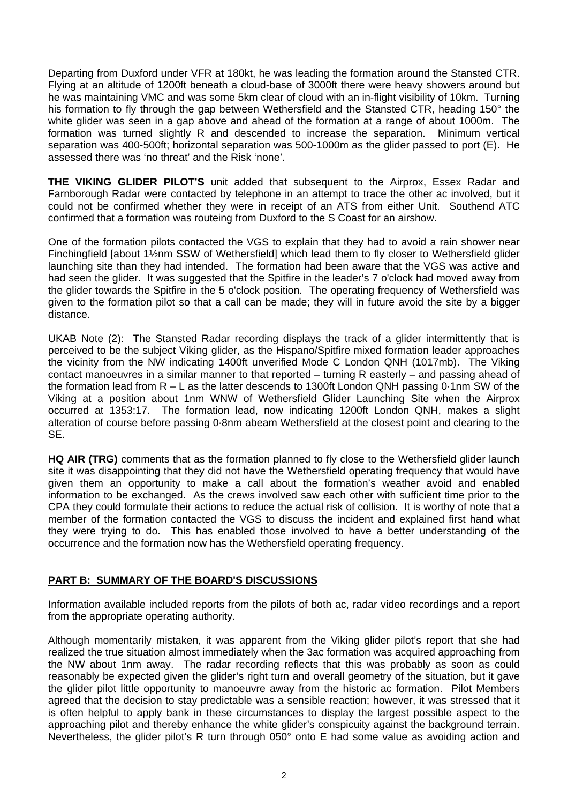Departing from Duxford under VFR at 180kt, he was leading the formation around the Stansted CTR. Flying at an altitude of 1200ft beneath a cloud-base of 3000ft there were heavy showers around but he was maintaining VMC and was some 5km clear of cloud with an in-flight visibility of 10km. Turning his formation to fly through the gap between Wethersfield and the Stansted CTR, heading 150° the white glider was seen in a gap above and ahead of the formation at a range of about 1000m. The formation was turned slightly R and descended to increase the separation. Minimum vertical separation was 400-500ft; horizontal separation was 500-1000m as the glider passed to port (E). He assessed there was 'no threat' and the Risk 'none'.

**THE VIKING GLIDER PILOT'S** unit added that subsequent to the Airprox, Essex Radar and Farnborough Radar were contacted by telephone in an attempt to trace the other ac involved, but it could not be confirmed whether they were in receipt of an ATS from either Unit. Southend ATC confirmed that a formation was routeing from Duxford to the S Coast for an airshow.

One of the formation pilots contacted the VGS to explain that they had to avoid a rain shower near Finchingfield [about 1½nm SSW of Wethersfield] which lead them to fly closer to Wethersfield glider launching site than they had intended. The formation had been aware that the VGS was active and had seen the glider. It was suggested that the Spitfire in the leader's 7 o'clock had moved away from the glider towards the Spitfire in the 5 o'clock position. The operating frequency of Wethersfield was given to the formation pilot so that a call can be made; they will in future avoid the site by a bigger distance.

UKAB Note (2): The Stansted Radar recording displays the track of a glider intermittently that is perceived to be the subject Viking glider, as the Hispano/Spitfire mixed formation leader approaches the vicinity from the NW indicating 1400ft unverified Mode C London QNH (1017mb). The Viking contact manoeuvres in a similar manner to that reported – turning R easterly – and passing ahead of the formation lead from R – L as the latter descends to 1300ft London QNH passing 0·1nm SW of the Viking at a position about 1nm WNW of Wethersfield Glider Launching Site when the Airprox occurred at 1353:17. The formation lead, now indicating 1200ft London QNH, makes a slight alteration of course before passing 0·8nm abeam Wethersfield at the closest point and clearing to the SE.

**HQ AIR (TRG)** comments that as the formation planned to fly close to the Wethersfield glider launch site it was disappointing that they did not have the Wethersfield operating frequency that would have given them an opportunity to make a call about the formation's weather avoid and enabled information to be exchanged. As the crews involved saw each other with sufficient time prior to the CPA they could formulate their actions to reduce the actual risk of collision. It is worthy of note that a member of the formation contacted the VGS to discuss the incident and explained first hand what they were trying to do. This has enabled those involved to have a better understanding of the occurrence and the formation now has the Wethersfield operating frequency.

### **PART B: SUMMARY OF THE BOARD'S DISCUSSIONS**

Information available included reports from the pilots of both ac, radar video recordings and a report from the appropriate operating authority.

Although momentarily mistaken, it was apparent from the Viking glider pilot's report that she had realized the true situation almost immediately when the 3ac formation was acquired approaching from the NW about 1nm away. The radar recording reflects that this was probably as soon as could reasonably be expected given the glider's right turn and overall geometry of the situation, but it gave the glider pilot little opportunity to manoeuvre away from the historic ac formation. Pilot Members agreed that the decision to stay predictable was a sensible reaction; however, it was stressed that it is often helpful to apply bank in these circumstances to display the largest possible aspect to the approaching pilot and thereby enhance the white glider's conspicuity against the background terrain. Nevertheless, the glider pilot's R turn through 050° onto E had some value as avoiding action and